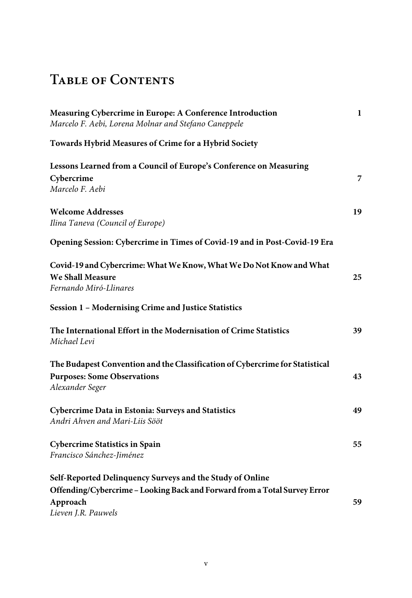## **Table of Contents**

| Measuring Cybercrime in Europe: A Conference Introduction<br>Marcelo F. Aebi, Lorena Molnar and Stefano Caneppele | 1  |
|-------------------------------------------------------------------------------------------------------------------|----|
| Towards Hybrid Measures of Crime for a Hybrid Society                                                             |    |
| Lessons Learned from a Council of Europe's Conference on Measuring                                                |    |
| Cybercrime                                                                                                        | 7  |
| Marcelo F. Aebi                                                                                                   |    |
| <b>Welcome Addresses</b>                                                                                          | 19 |
| Ilina Taneva (Council of Europe)                                                                                  |    |
| Opening Session: Cybercrime in Times of Covid-19 and in Post-Covid-19 Era                                         |    |
| Covid-19 and Cybercrime: What We Know, What We Do Not Know and What                                               |    |
| We Shall Measure                                                                                                  | 25 |
| Fernando Miró-Llinares                                                                                            |    |
| Session 1 - Modernising Crime and Justice Statistics                                                              |    |
| The International Effort in the Modernisation of Crime Statistics                                                 | 39 |
| Michael Levi                                                                                                      |    |
| The Budapest Convention and the Classification of Cybercrime for Statistical                                      |    |
| <b>Purposes: Some Observations</b>                                                                                | 43 |
| Alexander Seger                                                                                                   |    |
| Cybercrime Data in Estonia: Surveys and Statistics                                                                | 49 |
| Andri Ahven and Mari-Liis Sööt                                                                                    |    |
| <b>Cybercrime Statistics in Spain</b>                                                                             | 55 |
| Francisco Sánchez-Jiménez                                                                                         |    |
| Self-Reported Delinquency Surveys and the Study of Online                                                         |    |
| Offending/Cybercrime - Looking Back and Forward from a Total Survey Error                                         |    |
| Approach                                                                                                          | 59 |
| Lieven J.R. Pauwels                                                                                               |    |